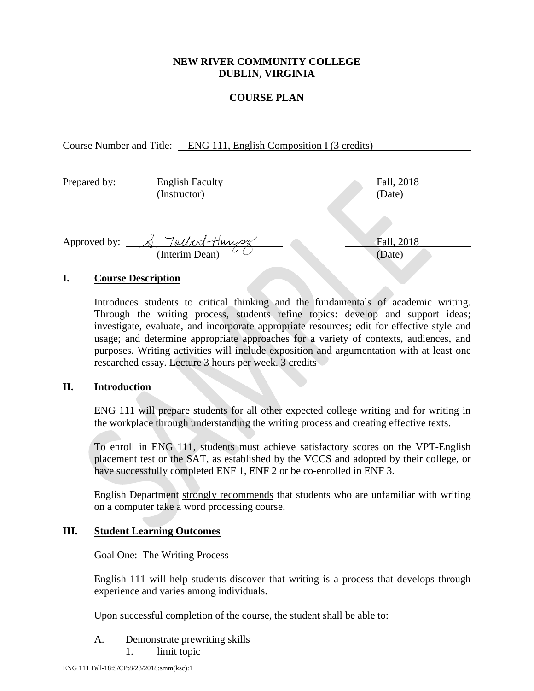## **NEW RIVER COMMUNITY COLLEGE DUBLIN, VIRGINIA**

## **COURSE PLAN**

Course Number and Title: ENG 111, English Composition I (3 credits)

| Prepared by: | <b>English Faculty</b> | Fall, 2018 |
|--------------|------------------------|------------|
|              | (Instructor)           | (Date)     |
|              |                        |            |
|              |                        |            |
| Approved by: | Tollert-Hungs          | Fall, 2018 |
|              | (Interim Dean)         | (Date)     |
|              |                        |            |

## **I. Course Description**

Introduces students to critical thinking and the fundamentals of academic writing. Through the writing process, students refine topics: develop and support ideas; investigate, evaluate, and incorporate appropriate resources; edit for effective style and usage; and determine appropriate approaches for a variety of contexts, audiences, and purposes. Writing activities will include exposition and argumentation with at least one researched essay. Lecture 3 hours per week. 3 credits

## **II. Introduction**

ENG 111 will prepare students for all other expected college writing and for writing in the workplace through understanding the writing process and creating effective texts.

To enroll in ENG 111, students must achieve satisfactory scores on the VPT-English placement test or the SAT, as established by the VCCS and adopted by their college, or have successfully completed ENF 1, ENF 2 or be co-enrolled in ENF 3.

English Department strongly recommends that students who are unfamiliar with writing on a computer take a word processing course.

## **III. Student Learning Outcomes**

Goal One: The Writing Process

English 111 will help students discover that writing is a process that develops through experience and varies among individuals.

Upon successful completion of the course, the student shall be able to:

- A. Demonstrate prewriting skills
	- 1. limit topic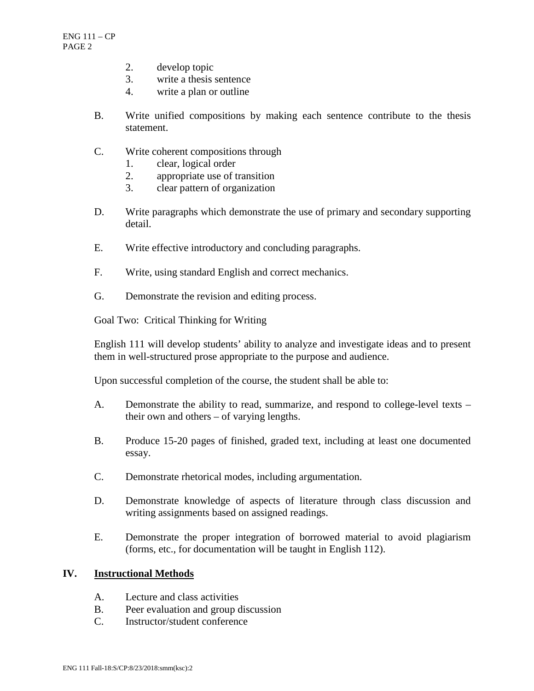- 2. develop topic
- 3. write a thesis sentence
- 4. write a plan or outline
- B. Write unified compositions by making each sentence contribute to the thesis statement.
- C. Write coherent compositions through
	- 1. clear, logical order
	- 2. appropriate use of transition
	- 3. clear pattern of organization
- D. Write paragraphs which demonstrate the use of primary and secondary supporting detail.
- E. Write effective introductory and concluding paragraphs.
- F. Write, using standard English and correct mechanics.
- G. Demonstrate the revision and editing process.

Goal Two: Critical Thinking for Writing

English 111 will develop students' ability to analyze and investigate ideas and to present them in well-structured prose appropriate to the purpose and audience.

Upon successful completion of the course, the student shall be able to:

- A. Demonstrate the ability to read, summarize, and respond to college-level texts their own and others – of varying lengths.
- B. Produce 15-20 pages of finished, graded text, including at least one documented essay.
- C. Demonstrate rhetorical modes, including argumentation.
- D. Demonstrate knowledge of aspects of literature through class discussion and writing assignments based on assigned readings.
- E. Demonstrate the proper integration of borrowed material to avoid plagiarism (forms, etc., for documentation will be taught in English 112).

#### **IV. Instructional Methods**

- A. Lecture and class activities
- B. Peer evaluation and group discussion
- C. Instructor/student conference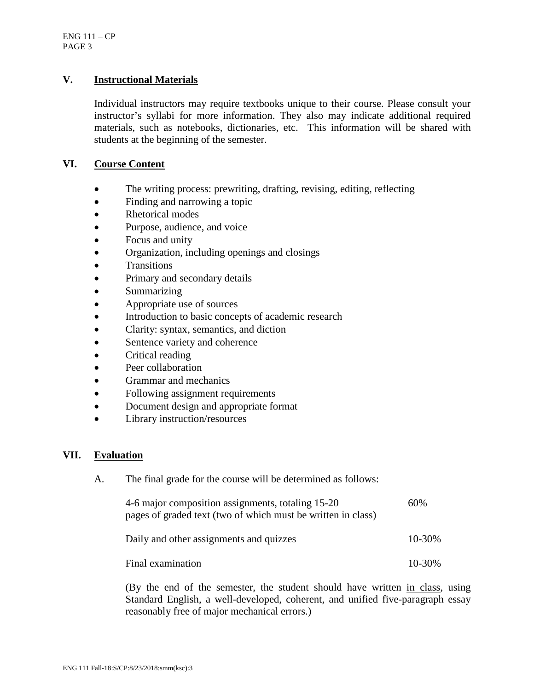## **V. Instructional Materials**

Individual instructors may require textbooks unique to their course. Please consult your instructor's syllabi for more information. They also may indicate additional required materials, such as notebooks, dictionaries, etc. This information will be shared with students at the beginning of the semester.

## **VI. Course Content**

- The writing process: prewriting, drafting, revising, editing, reflecting
- Finding and narrowing a topic
- Rhetorical modes
- Purpose, audience, and voice
- Focus and unity
- Organization, including openings and closings
- Transitions
- Primary and secondary details
- Summarizing
- Appropriate use of sources
- Introduction to basic concepts of academic research
- Clarity: syntax, semantics, and diction
- Sentence variety and coherence
- Critical reading
- Peer collaboration
- Grammar and mechanics
- Following assignment requirements
- Document design and appropriate format
- Library instruction/resources

#### **VII. Evaluation**

A. The final grade for the course will be determined as follows:

| 4-6 major composition assignments, totaling 15-20<br>pages of graded text (two of which must be written in class) | 60%    |
|-------------------------------------------------------------------------------------------------------------------|--------|
| Daily and other assignments and quizzes                                                                           | 10-30% |
| Final examination                                                                                                 | 10-30% |

(By the end of the semester, the student should have written in class, using Standard English, a well-developed, coherent, and unified five-paragraph essay reasonably free of major mechanical errors.)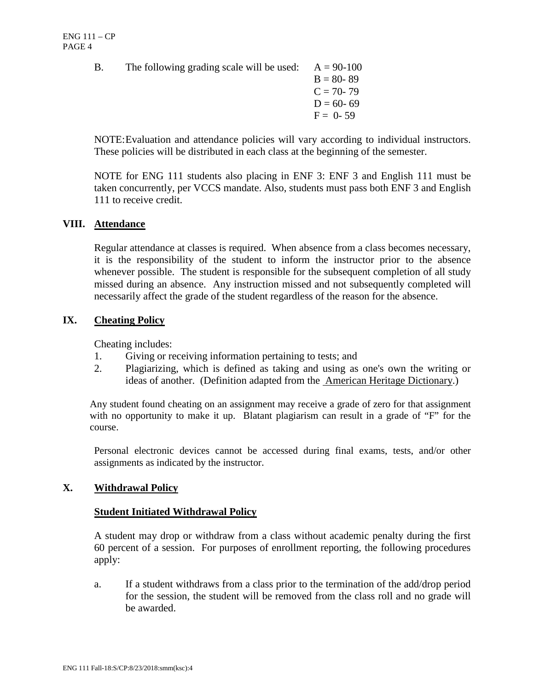B. The following grading scale will be used:  $A = 90-100$ 

 $B = 80 - 89$  $C = 70 - 79$  $D = 60 - 69$  $F = 0 - 59$ 

NOTE:Evaluation and attendance policies will vary according to individual instructors. These policies will be distributed in each class at the beginning of the semester.

NOTE for ENG 111 students also placing in ENF 3: ENF 3 and English 111 must be taken concurrently, per VCCS mandate. Also, students must pass both ENF 3 and English 111 to receive credit.

## **VIII. Attendance**

Regular attendance at classes is required. When absence from a class becomes necessary, it is the responsibility of the student to inform the instructor prior to the absence whenever possible. The student is responsible for the subsequent completion of all study missed during an absence. Any instruction missed and not subsequently completed will necessarily affect the grade of the student regardless of the reason for the absence.

# **IX. Cheating Policy**

Cheating includes:

- 1. Giving or receiving information pertaining to tests; and
- 2. Plagiarizing, which is defined as taking and using as one's own the writing or ideas of another. (Definition adapted from the American Heritage Dictionary.)

Any student found cheating on an assignment may receive a grade of zero for that assignment with no opportunity to make it up. Blatant plagiarism can result in a grade of "F" for the course.

Personal electronic devices cannot be accessed during final exams, tests, and/or other assignments as indicated by the instructor.

# **X. Withdrawal Policy**

## **Student Initiated Withdrawal Policy**

A student may drop or withdraw from a class without academic penalty during the first 60 percent of a session. For purposes of enrollment reporting, the following procedures apply:

a. If a student withdraws from a class prior to the termination of the add/drop period for the session, the student will be removed from the class roll and no grade will be awarded.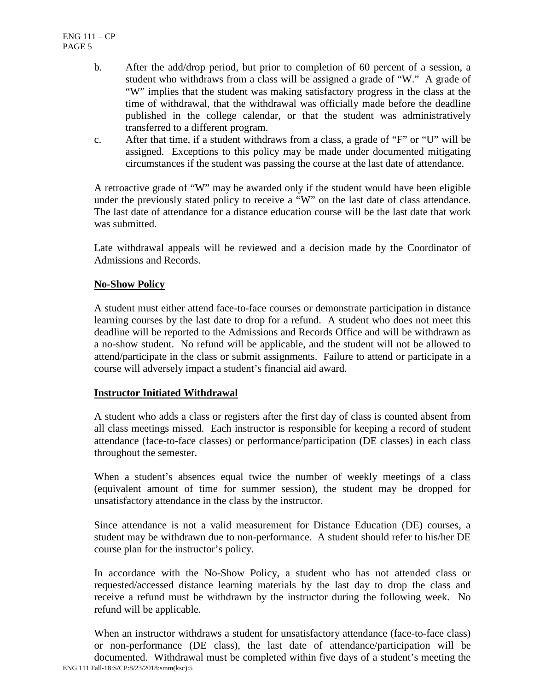- b. After the add/drop period, but prior to completion of 60 percent of a session, a student who withdraws from a class will be assigned a grade of "W." A grade of "W" implies that the student was making satisfactory progress in the class at the time of withdrawal, that the withdrawal was officially made before the deadline published in the college calendar, or that the student was administratively transferred to a different program.
- c. After that time, if a student withdraws from a class, a grade of "F" or "U" will be assigned. Exceptions to this policy may be made under documented mitigating circumstances if the student was passing the course at the last date of attendance.

A retroactive grade of "W" may be awarded only if the student would have been eligible under the previously stated policy to receive a "W" on the last date of class attendance. The last date of attendance for a distance education course will be the last date that work was submitted.

Late withdrawal appeals will be reviewed and a decision made by the Coordinator of Admissions and Records.

## **No-Show Policy**

A student must either attend face-to-face courses or demonstrate participation in distance learning courses by the last date to drop for a refund. A student who does not meet this deadline will be reported to the Admissions and Records Office and will be withdrawn as a no-show student. No refund will be applicable, and the student will not be allowed to attend/participate in the class or submit assignments. Failure to attend or participate in a course will adversely impact a student's financial aid award.

## **Instructor Initiated Withdrawal**

A student who adds a class or registers after the first day of class is counted absent from all class meetings missed. Each instructor is responsible for keeping a record of student attendance (face-to-face classes) or performance/participation (DE classes) in each class throughout the semester.

When a student's absences equal twice the number of weekly meetings of a class (equivalent amount of time for summer session), the student may be dropped for unsatisfactory attendance in the class by the instructor.

Since attendance is not a valid measurement for Distance Education (DE) courses, a student may be withdrawn due to non-performance. A student should refer to his/her DE course plan for the instructor's policy.

In accordance with the No-Show Policy, a student who has not attended class or requested/accessed distance learning materials by the last day to drop the class and receive a refund must be withdrawn by the instructor during the following week. No refund will be applicable.

ENG 111 Fall-18:S/CP:8/23/2018:smm(ksc):5 When an instructor withdraws a student for unsatisfactory attendance (face-to-face class) or non-performance (DE class), the last date of attendance/participation will be documented. Withdrawal must be completed within five days of a student's meeting the